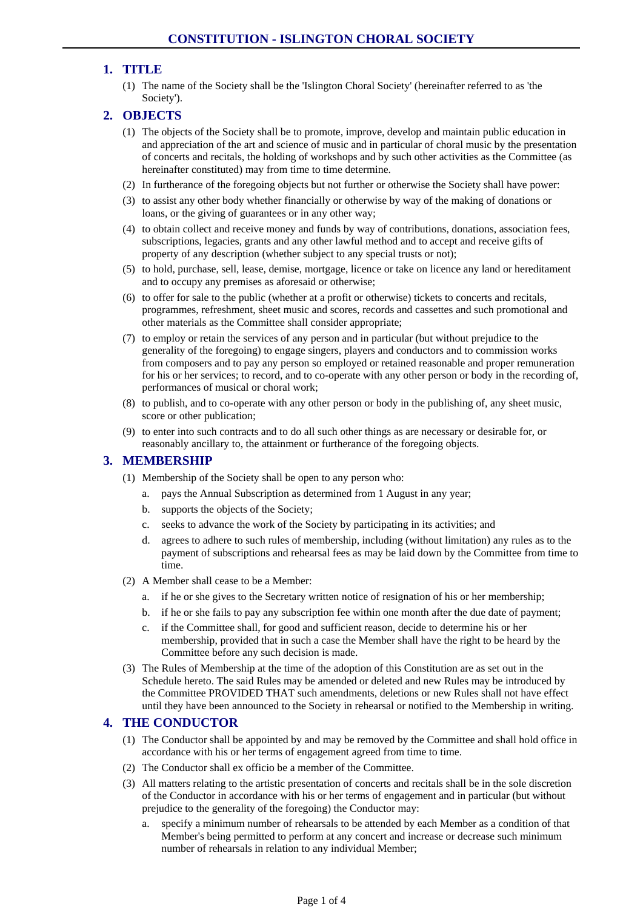## **1. TITLE**

(1) The name of the Society shall be the 'Islington Choral Society' (hereinafter referred to as 'the Society').

## **2. OBJECTS**

- (1) The objects of the Society shall be to promote, improve, develop and maintain public education in and appreciation of the art and science of music and in particular of choral music by the presentation of concerts and recitals, the holding of workshops and by such other activities as the Committee (as hereinafter constituted) may from time to time determine.
- (2) In furtherance of the foregoing objects but not further or otherwise the Society shall have power:
- (3) to assist any other body whether financially or otherwise by way of the making of donations or loans, or the giving of guarantees or in any other way;
- (4) to obtain collect and receive money and funds by way of contributions, donations, association fees, subscriptions, legacies, grants and any other lawful method and to accept and receive gifts of property of any description (whether subject to any special trusts or not);
- (5) to hold, purchase, sell, lease, demise, mortgage, licence or take on licence any land or hereditament and to occupy any premises as aforesaid or otherwise;
- (6) to offer for sale to the public (whether at a profit or otherwise) tickets to concerts and recitals, programmes, refreshment, sheet music and scores, records and cassettes and such promotional and other materials as the Committee shall consider appropriate;
- (7) to employ or retain the services of any person and in particular (but without prejudice to the generality of the foregoing) to engage singers, players and conductors and to commission works from composers and to pay any person so employed or retained reasonable and proper remuneration for his or her services; to record, and to co-operate with any other person or body in the recording of, performances of musical or choral work;
- (8) to publish, and to co-operate with any other person or body in the publishing of, any sheet music, score or other publication;
- (9) to enter into such contracts and to do all such other things as are necessary or desirable for, or reasonably ancillary to, the attainment or furtherance of the foregoing objects.

### **3. MEMBERSHIP**

- (1) Membership of the Society shall be open to any person who:
	- pays the Annual Subscription as determined from 1 August in any year;
	- b. supports the objects of the Society;
	- c. seeks to advance the work of the Society by participating in its activities; and
	- d. agrees to adhere to such rules of membership, including (without limitation) any rules as to the payment of subscriptions and rehearsal fees as may be laid down by the Committee from time to time.
- (2) A Member shall cease to be a Member:
	- a. if he or she gives to the Secretary written notice of resignation of his or her membership;
	- b. if he or she fails to pay any subscription fee within one month after the due date of payment;
	- c. if the Committee shall, for good and sufficient reason, decide to determine his or her membership, provided that in such a case the Member shall have the right to be heard by the Committee before any such decision is made.
- (3) The Rules of Membership at the time of the adoption of this Constitution are as set out in the Schedule hereto. The said Rules may be amended or deleted and new Rules may be introduced by the Committee PROVIDED THAT such amendments, deletions or new Rules shall not have effect until they have been announced to the Society in rehearsal or notified to the Membership in writing.

### **4. THE CONDUCTOR**

- (1) The Conductor shall be appointed by and may be removed by the Committee and shall hold office in accordance with his or her terms of engagement agreed from time to time.
- (2) The Conductor shall ex officio be a member of the Committee.
- (3) All matters relating to the artistic presentation of concerts and recitals shall be in the sole discretion of the Conductor in accordance with his or her terms of engagement and in particular (but without prejudice to the generality of the foregoing) the Conductor may:
	- a. specify a minimum number of rehearsals to be attended by each Member as a condition of that Member's being permitted to perform at any concert and increase or decrease such minimum number of rehearsals in relation to any individual Member;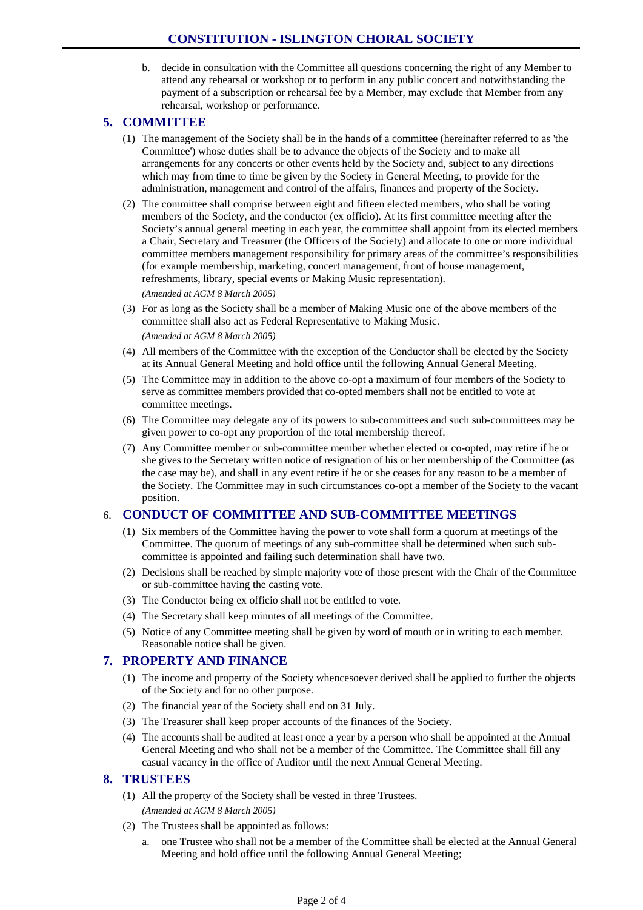b. decide in consultation with the Committee all questions concerning the right of any Member to attend any rehearsal or workshop or to perform in any public concert and notwithstanding the payment of a subscription or rehearsal fee by a Member, may exclude that Member from any rehearsal, workshop or performance.

## **5. COMMITTEE**

- (1) The management of the Society shall be in the hands of a committee (hereinafter referred to as 'the Committee') whose duties shall be to advance the objects of the Society and to make all arrangements for any concerts or other events held by the Society and, subject to any directions which may from time to time be given by the Society in General Meeting, to provide for the administration, management and control of the affairs, finances and property of the Society.
- (2) The committee shall comprise between eight and fifteen elected members, who shall be voting members of the Society, and the conductor (ex officio). At its first committee meeting after the Society's annual general meeting in each year, the committee shall appoint from its elected members a Chair, Secretary and Treasurer (the Officers of the Society) and allocate to one or more individual committee members management responsibility for primary areas of the committee's responsibilities (for example membership, marketing, concert management, front of house management, refreshments, library, special events or Making Music representation).

*(Amended at AGM 8 March 2005)* 

- (3) For as long as the Society shall be a member of Making Music one of the above members of the committee shall also act as Federal Representative to Making Music. *(Amended at AGM 8 March 2005)*
- (4) All members of the Committee with the exception of the Conductor shall be elected by the Society at its Annual General Meeting and hold office until the following Annual General Meeting.
- (5) The Committee may in addition to the above co-opt a maximum of four members of the Society to serve as committee members provided that co-opted members shall not be entitled to vote at committee meetings.
- (6) The Committee may delegate any of its powers to sub-committees and such sub-committees may be given power to co-opt any proportion of the total membership thereof.
- (7) Any Committee member or sub-committee member whether elected or co-opted, may retire if he or she gives to the Secretary written notice of resignation of his or her membership of the Committee (as the case may be), and shall in any event retire if he or she ceases for any reason to be a member of the Society. The Committee may in such circumstances co-opt a member of the Society to the vacant position.

### 6. **CONDUCT OF COMMITTEE AND SUB-COMMITTEE MEETINGS**

- (1) Six members of the Committee having the power to vote shall form a quorum at meetings of the Committee. The quorum of meetings of any sub-committee shall be determined when such subcommittee is appointed and failing such determination shall have two.
- (2) Decisions shall be reached by simple majority vote of those present with the Chair of the Committee or sub-committee having the casting vote.
- (3) The Conductor being ex officio shall not be entitled to vote.
- (4) The Secretary shall keep minutes of all meetings of the Committee.
- (5) Notice of any Committee meeting shall be given by word of mouth or in writing to each member. Reasonable notice shall be given.

## **7. PROPERTY AND FINANCE**

- (1) The income and property of the Society whencesoever derived shall be applied to further the objects of the Society and for no other purpose.
- (2) The financial year of the Society shall end on 31 July.
- (3) The Treasurer shall keep proper accounts of the finances of the Society.
- (4) The accounts shall be audited at least once a year by a person who shall be appointed at the Annual General Meeting and who shall not be a member of the Committee. The Committee shall fill any casual vacancy in the office of Auditor until the next Annual General Meeting.

### **8. TRUSTEES**

- (1) All the property of the Society shall be vested in three Trustees. *(Amended at AGM 8 March 2005)*
- (2) The Trustees shall be appointed as follows:
	- a. one Trustee who shall not be a member of the Committee shall be elected at the Annual General Meeting and hold office until the following Annual General Meeting;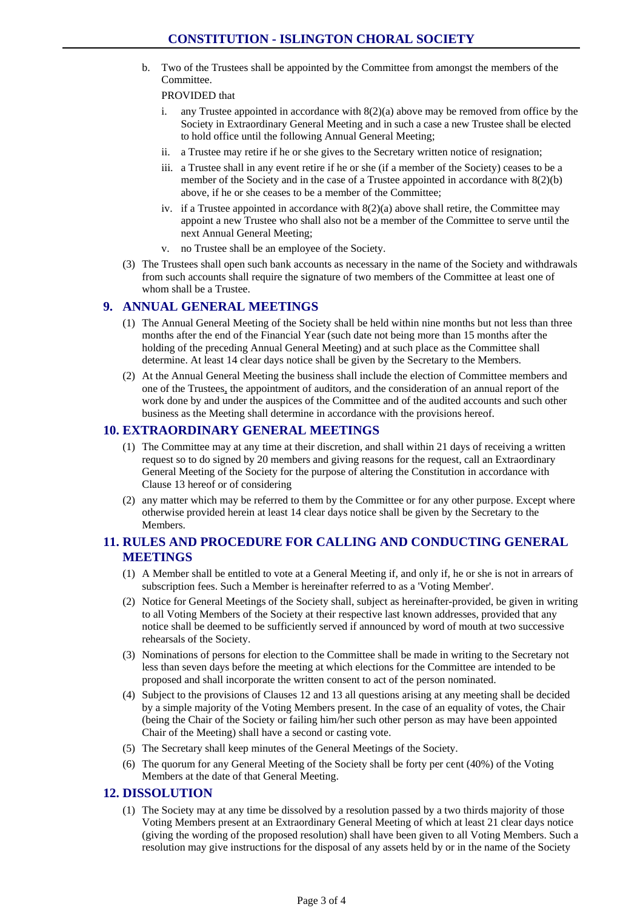b. Two of the Trustees shall be appointed by the Committee from amongst the members of the Committee.

#### PROVIDED that

- i. any Trustee appointed in accordance with  $8(2)(a)$  above may be removed from office by the Society in Extraordinary General Meeting and in such a case a new Trustee shall be elected to hold office until the following Annual General Meeting;
- ii. a Trustee may retire if he or she gives to the Secretary written notice of resignation;
- iii. a Trustee shall in any event retire if he or she (if a member of the Society) ceases to be a member of the Society and in the case of a Trustee appointed in accordance with  $8(2)(b)$ above, if he or she ceases to be a member of the Committee;
- iv. if a Trustee appointed in accordance with  $8(2)(a)$  above shall retire, the Committee may appoint a new Trustee who shall also not be a member of the Committee to serve until the next Annual General Meeting;
- v. no Trustee shall be an employee of the Society.
- (3) The Trustees shall open such bank accounts as necessary in the name of the Society and withdrawals from such accounts shall require the signature of two members of the Committee at least one of whom shall be a Trustee.

## **9. ANNUAL GENERAL MEETINGS**

- (1) The Annual General Meeting of the Society shall be held within nine months but not less than three months after the end of the Financial Year (such date not being more than 15 months after the holding of the preceding Annual General Meeting) and at such place as the Committee shall determine. At least 14 clear days notice shall be given by the Secretary to the Members.
- (2) At the Annual General Meeting the business shall include the election of Committee members and one of the Trustees, the appointment of auditors, and the consideration of an annual report of the work done by and under the auspices of the Committee and of the audited accounts and such other business as the Meeting shall determine in accordance with the provisions hereof.

#### **10. EXTRAORDINARY GENERAL MEETINGS**

- (1) The Committee may at any time at their discretion, and shall within 21 days of receiving a written request so to do signed by 20 members and giving reasons for the request, call an Extraordinary General Meeting of the Society for the purpose of altering the Constitution in accordance with Clause 13 hereof or of considering
- (2) any matter which may be referred to them by the Committee or for any other purpose. Except where otherwise provided herein at least 14 clear days notice shall be given by the Secretary to the **Members**

## **11. RULES AND PROCEDURE FOR CALLING AND CONDUCTING GENERAL MEETINGS**

- (1) A Member shall be entitled to vote at a General Meeting if, and only if, he or she is not in arrears of subscription fees. Such a Member is hereinafter referred to as a 'Voting Member'.
- (2) Notice for General Meetings of the Society shall, subject as hereinafter-provided, be given in writing to all Voting Members of the Society at their respective last known addresses, provided that any notice shall be deemed to be sufficiently served if announced by word of mouth at two successive rehearsals of the Society.
- (3) Nominations of persons for election to the Committee shall be made in writing to the Secretary not less than seven days before the meeting at which elections for the Committee are intended to be proposed and shall incorporate the written consent to act of the person nominated.
- (4) Subject to the provisions of Clauses 12 and 13 all questions arising at any meeting shall be decided by a simple majority of the Voting Members present. In the case of an equality of votes, the Chair (being the Chair of the Society or failing him/her such other person as may have been appointed Chair of the Meeting) shall have a second or casting vote.
- (5) The Secretary shall keep minutes of the General Meetings of the Society.
- (6) The quorum for any General Meeting of the Society shall be forty per cent (40%) of the Voting Members at the date of that General Meeting.

### **12. DISSOLUTION**

(1) The Society may at any time be dissolved by a resolution passed by a two thirds majority of those Voting Members present at an Extraordinary General Meeting of which at least 21 clear days notice (giving the wording of the proposed resolution) shall have been given to all Voting Members. Such a resolution may give instructions for the disposal of any assets held by or in the name of the Society